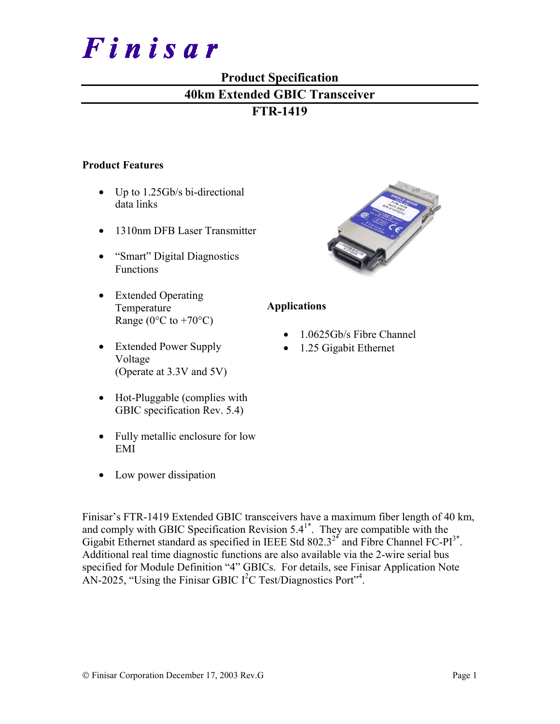

# **Product Specification**

# **40km Extended GBIC Transceiver**

# **FTR-1419**

#### **Product Features**

- Up to 1.25Gb/s bi-directional data links
- 1310nm DFB Laser Transmitter
- "Smart" Digital Diagnostics Functions
- Extended Operating Temperature Range ( $0^{\circ}$ C to +70 $^{\circ}$ C)
- Extended Power Supply Voltage (Operate at 3.3V and 5V)
- Hot-Pluggable (complies with GBIC specification Rev. 5.4)
- Fully metallic enclosure for low EMI
- Low power dissipation



## **Applications**

- 1.0625Gb/s Fibre Channel
- 1.25 Gigabit Ethernet

Finisar's FTR-1419 Extended GBIC transceivers have a maximum fiber length of 40 km, and comply with GBIC Specification Revision  $5.4^{1*}$ . They are compatible with the Gigabit Ethernet standard as specified in IEEE Std  $802.3^{2*}$  and Fibre Channel FC-PI<sup>3\*</sup>. Additional real time diagnostic functions are also available via the 2-wire serial bus specified for Module Definition "4" GBICs. For details, see Finisar Application Note AN-2025, "Using the Finisar GBIC  $I<sup>2</sup>C$  Test/Diagnostics Port"<sup>4</sup>.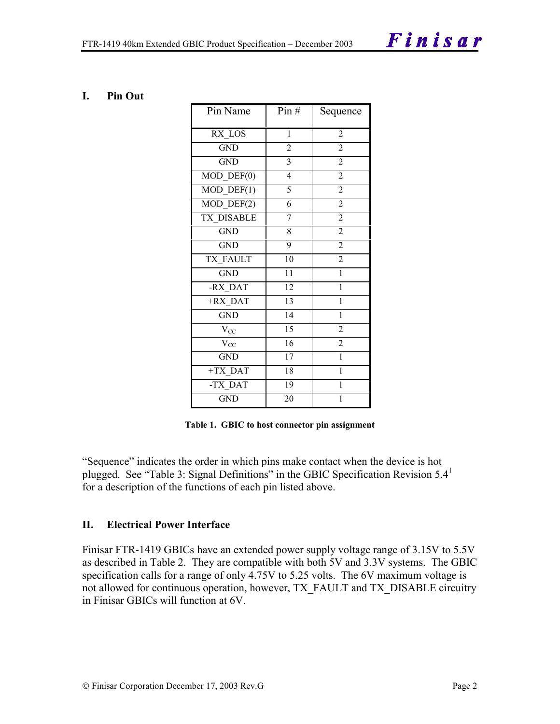#### **I. Pin Out**

| Pin Name         | Pin#                    | Sequence       |
|------------------|-------------------------|----------------|
| RX LOS           | $\mathbf{1}$            | 2              |
| <b>GND</b>       | $\overline{2}$          | $\overline{2}$ |
| <b>GND</b>       | $\overline{\mathbf{3}}$ | $\overline{2}$ |
| $MOD$ $DEF(0)$   | $\overline{4}$          | $\overline{2}$ |
| $MOD$ DEF $(1)$  | 5                       | $\overline{2}$ |
| $MOD_$ DEF(2)    | 6                       | $\overline{c}$ |
| TX DISABLE       | 7                       | $\overline{2}$ |
| <b>GND</b>       | 8                       | $\overline{2}$ |
| <b>GND</b>       | 9                       | $\overline{2}$ |
| <b>TX FAULT</b>  | 10                      | $\overline{2}$ |
| <b>GND</b>       | $\overline{11}$         | $\mathbf{1}$   |
| -RX DAT          | 12                      | $\mathbf{1}$   |
| +RX DAT          | $\overline{13}$         | $\mathbf{1}$   |
| $\overline{G}ND$ | 14                      | $\mathbf{1}$   |
| $V_{CC}$         | 15                      | $\overline{2}$ |
| $V_{CC}$         | 16                      | $\overline{2}$ |
| <b>GND</b>       | 17                      | $\mathbf{1}$   |
| +TX DAT          | 18                      | $\mathbf{1}$   |
| -TX DAT          | 19                      | $\mathbf{1}$   |
| <b>GND</b>       | 20                      | 1              |

**Table 1. GBIC to host connector pin assignment** 

"Sequence" indicates the order in which pins make contact when the device is hot plugged. See "Table 3: Signal Definitions" in the GBIC Specification Revision  $5.4<sup>1</sup>$ for a description of the functions of each pin listed above.

#### **II. Electrical Power Interface**

Finisar FTR-1419 GBICs have an extended power supply voltage range of 3.15V to 5.5V as described in Table 2. They are compatible with both 5V and 3.3V systems. The GBIC specification calls for a range of only 4.75V to 5.25 volts. The 6V maximum voltage is not allowed for continuous operation, however, TX\_FAULT and TX\_DISABLE circuitry in Finisar GBICs will function at 6V.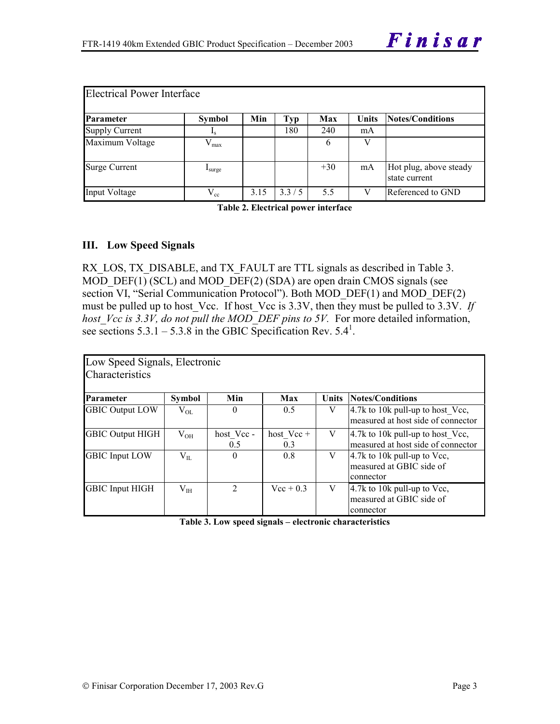| <b>Electrical Power Interface</b> |                  |      |       |       |       |                                         |  |  |  |
|-----------------------------------|------------------|------|-------|-------|-------|-----------------------------------------|--|--|--|
| Parameter                         | <b>Symbol</b>    | Min  | Typ   | Max   | Units | Notes/Conditions                        |  |  |  |
| <b>Supply Current</b>             | $\mathbf{I}_{S}$ |      | 180   | 240   | mA    |                                         |  |  |  |
| Maximum Voltage                   | $V_{max}$        |      |       | 6     |       |                                         |  |  |  |
| <b>Surge Current</b>              | <b>L</b> surge   |      |       | $+30$ | mA    | Hot plug, above steady<br>state current |  |  |  |
| Input Voltage                     | $\rm V_{cc}$     | 3.15 | 3.3/5 | 5.5   |       | Referenced to GND                       |  |  |  |

**Table 2. Electrical power interface**

#### **III. Low Speed Signals**

RX LOS, TX DISABLE, and TX FAULT are TTL signals as described in Table 3. MOD  $DEF(1)$  (SCL) and MOD  $DEF(2)$  (SDA) are open drain CMOS signals (see section VI, "Serial Communication Protocol"). Both MOD\_DEF(1) and MOD\_DEF(2) must be pulled up to host Vcc. If host Vcc is 3.3V, then they must be pulled to 3.3V. If *host Vcc is 3.3V, do not pull the MOD\_DEF pins to 5V.* For more detailed information, see sections  $5.3.1 - 5.3.8$  in the GBIC Specification Rev.  $5.4^1$ .

| Low Speed Signals, Electronic |               |                  |                     |       |                                                                                          |  |  |  |  |  |
|-------------------------------|---------------|------------------|---------------------|-------|------------------------------------------------------------------------------------------|--|--|--|--|--|
| Characteristics               |               |                  |                     |       |                                                                                          |  |  |  |  |  |
| Parameter                     | <b>Symbol</b> | Min              | Max                 | Units | Notes/Conditions                                                                         |  |  |  |  |  |
| <b>GBIC Output LOW</b>        | $\rm V_{OL}$  | $\theta$         | 0.5                 | V     | $4.7k$ to 10k pull-up to host Vcc,<br>measured at host side of connector                 |  |  |  |  |  |
| <b>GBIC Output HIGH</b>       | $\rm V_{OH}$  | host Vcc-<br>0.5 | host $Vec +$<br>0.3 | V     | $4.7k$ to 10k pull-up to host Vcc,<br>measured at host side of connector                 |  |  |  |  |  |
| <b>GBIC</b> Input LOW         | $V_{II}$      | $\theta$         | 0.8                 | V     | $ 4.7k \text{ to } 10k \text{ pull-up to Vec},$<br>measured at GBIC side of<br>connector |  |  |  |  |  |
| <b>GBIC Input HIGH</b>        | $V_{IH}$      | $\mathfrak{D}$   | $Vec + 0.3$         | V     | 4.7k to 10k pull-up to Vcc,<br>measured at GBIC side of<br>connector                     |  |  |  |  |  |

**Table 3. Low speed signals – electronic characteristics**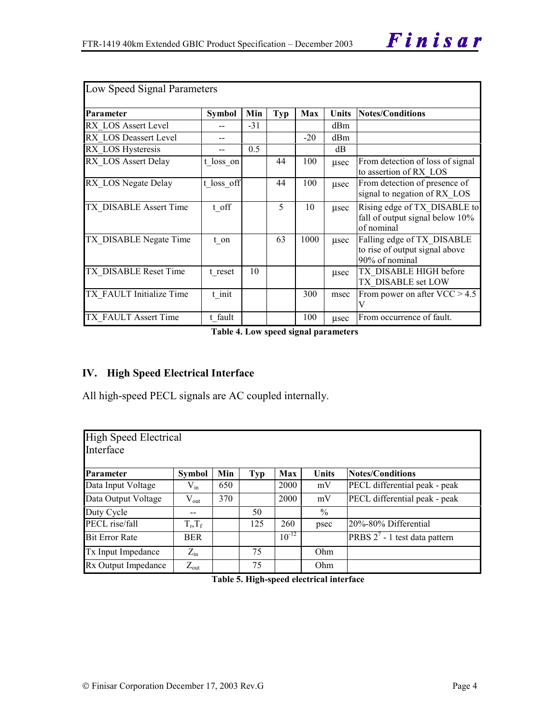| Low Speed Signal Parameters   |               |       |     |            |              |                                                                                |  |  |
|-------------------------------|---------------|-------|-----|------------|--------------|--------------------------------------------------------------------------------|--|--|
| Parameter                     | <b>Symbol</b> | Min   | Typ | <b>Max</b> | <b>Units</b> | <b>Notes/Conditions</b>                                                        |  |  |
| RX LOS Assert Level           |               | $-31$ |     |            | dBm          |                                                                                |  |  |
| <b>RX LOS Deassert Level</b>  |               |       |     | $-20$      | dBm          |                                                                                |  |  |
| RX LOS Hysteresis             |               | 0.5   |     |            | dB           |                                                                                |  |  |
| RX LOS Assert Delay           | t loss_on     |       | 44  | 100        | usec         | From detection of loss of signal<br>to assertion of RX LOS                     |  |  |
| RX LOS Negate Delay           | t loss off    |       | 44  | 100        | usec         | From detection of presence of<br>signal to negation of RX LOS                  |  |  |
| <b>TX DISABLE Assert Time</b> | t off         |       | 5   | 10         | usec         | Rising edge of TX DISABLE to<br>fall of output signal below 10%<br>of nominal  |  |  |
| TX DISABLE Negate Time        | t on          |       | 63  | 1000       | usec         | Falling edge of TX_DISABLE<br>to rise of output signal above<br>90% of nominal |  |  |
| TX DISABLE Reset Time         | t reset       | 10    |     |            | usec         | TX DISABLE HIGH before<br>TX DISABLE set LOW                                   |  |  |
| TX FAULT Initialize Time      | t init        |       |     | 300        | msec         | From power on after $VCC > 4.5$<br>V                                           |  |  |
| <b>TX FAULT Assert Time</b>   | t fault       |       |     | 100        | usec         | From occurrence of fault.                                                      |  |  |

**Table 4. Low speed signal parameters** 

### **IV. High Speed Electrical Interface**

All high-speed PECL signals are AC coupled internally.

| High Speed Electrical<br>Interface |                  |     |     |            |               |                                  |  |  |  |  |
|------------------------------------|------------------|-----|-----|------------|---------------|----------------------------------|--|--|--|--|
| Parameter                          | <b>Symbol</b>    | Min | Typ | <b>Max</b> | <b>Units</b>  | Notes/Conditions                 |  |  |  |  |
| Data Input Voltage                 | $V_{in}$         | 650 |     | 2000       | mV            | PECL differential peak - peak    |  |  |  |  |
| Data Output Voltage                | $V_{\text{out}}$ | 370 |     | 2000       | mV            | PECL differential peak - peak    |  |  |  |  |
| Duty Cycle                         |                  |     | 50  |            | $\frac{0}{0}$ |                                  |  |  |  |  |
| PECL rise/fall                     | $T_r, T_f$       |     | 125 | 260        | psec          | 20%-80% Differential             |  |  |  |  |
| <b>Bit Error Rate</b>              | <b>BER</b>       |     |     | $10^{-12}$ |               | PRBS $2^7$ - 1 test data pattern |  |  |  |  |
| Tx Input Impedance                 | $Z_{\rm in}$     |     | 75  |            | Ohm           |                                  |  |  |  |  |
| Rx Output Impedance                | $Z_{\text{out}}$ |     | 75  |            | Ohm           |                                  |  |  |  |  |

**Table 5. High-speed electrical interface**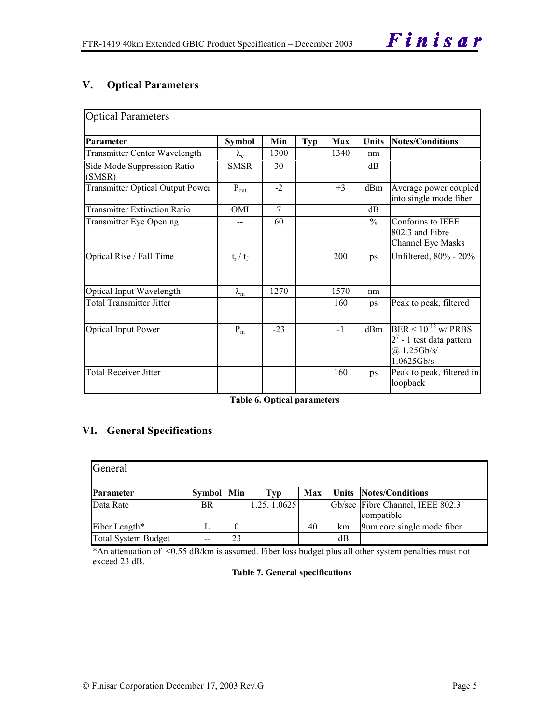# **V. Optical Parameters**

| <b>Optical Parameters</b>               |                    |        |     |      |               |                                                                                               |
|-----------------------------------------|--------------------|--------|-----|------|---------------|-----------------------------------------------------------------------------------------------|
| Parameter                               | <b>Symbol</b>      | Min    | Typ | Max  | <b>Units</b>  | <b>Notes/Conditions</b>                                                                       |
| <b>Transmitter Center Wavelength</b>    | $\lambda_{\rm c}$  | 1300   |     | 1340 | nm            |                                                                                               |
| Side Mode Suppression Ratio<br>(SMSR)   | <b>SMSR</b>        | 30     |     |      | dB            |                                                                                               |
| <b>Transmitter Optical Output Power</b> | $P_{out}$          | $-2$   |     | $+3$ | dBm           | Average power coupled<br>into single mode fiber                                               |
| <b>Transmitter Extinction Ratio</b>     | <b>OMI</b>         | $\tau$ |     |      | dB            |                                                                                               |
| <b>Transmitter Eye Opening</b>          |                    | 60     |     |      | $\frac{0}{0}$ | Conforms to IEEE<br>802.3 and Fibre<br>Channel Eye Masks                                      |
| Optical Rise / Fall Time                | $t_r / t_f$        |        |     | 200  | ps            | Unfiltered, 80% - 20%                                                                         |
| Optical Input Wavelength                | $\lambda_{\rm in}$ | 1270   |     | 1570 | nm            |                                                                                               |
| <b>Total Transmitter Jitter</b>         |                    |        |     | 160  | ps            | Peak to peak, filtered                                                                        |
| <b>Optical Input Power</b>              | $P_{in}$           | $-23$  |     | $-1$ | dBm           | $BER \le 10^{-12}$ w/ PRBS<br>$2^7$ - 1 test data pattern<br>$(a)$ 1.25Gb/s/<br>$1.0625$ Gb/s |
| <b>Total Receiver Jitter</b>            |                    |        |     | 160  | ps            | Peak to peak, filtered in<br>loopback                                                         |

**Table 6. Optical parameters** 

## **VI. General Specifications**

| General                    |                   |    |              |     |    |                                                |  |  |  |  |
|----------------------------|-------------------|----|--------------|-----|----|------------------------------------------------|--|--|--|--|
| Parameter                  | <b>Symbol</b> Min |    | Typ          | Max |    | <b>Units Notes/Conditions</b>                  |  |  |  |  |
| Data Rate                  | <b>BR</b>         |    | 1.25, 1.0625 |     |    | Gb/sec Fibre Channel, IEEE 802.3<br>compatible |  |  |  |  |
| Fiber Length*              |                   | 0  |              | 40  | km | 9um core single mode fiber                     |  |  |  |  |
| <b>Total System Budget</b> | --                | 23 |              |     | dВ |                                                |  |  |  |  |

\*An attenuation of <0.55 dB/km is assumed. Fiber loss budget plus all other system penalties must not exceed 23 dB.

#### **Table 7. General specifications**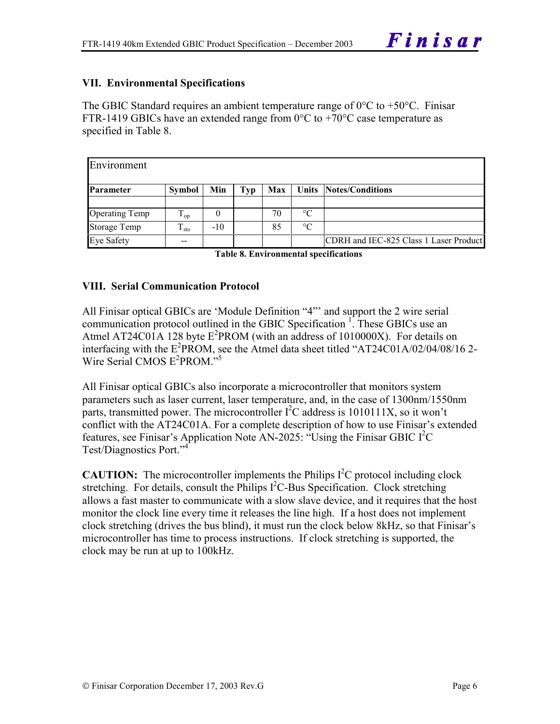## **VII. Environmental Specifications**

The GBIC Standard requires an ambient temperature range of  $0^{\circ}$ C to +50 $^{\circ}$ C. Finisar FTR-1419 GBICs have an extended range from  $0^{\circ}$ C to +70 $^{\circ}$ C case temperature as specified in Table 8.

| Environment           |               |          |     |     |                 |                                        |
|-----------------------|---------------|----------|-----|-----|-----------------|----------------------------------------|
| Parameter             | <b>Symbol</b> | Min      | Typ | Max |                 | <b>Units Notes/Conditions</b>          |
|                       |               |          |     |     |                 |                                        |
| <b>Operating Temp</b> | $T_{op}$      | $\theta$ |     | 70  | $\rm ^{\circ}C$ |                                        |
| <b>Storage Temp</b>   | $T_{\rm sto}$ | $-10$    |     | 85  | $\rm ^{\circ}C$ |                                        |
| <b>Eye Safety</b>     | --            |          |     |     |                 | CDRH and IEC-825 Class 1 Laser Product |

**Table 8. Environmental specifications** 

#### **VIII. Serial Communication Protocol**

All Finisar optical GBICs are 'Module Definition "4"' and support the 2 wire serial communication protocol outlined in the GBIC Specification<sup>1</sup>. These GBICs use an Atmel AT24C01A 128 byte  $E^2$ PROM (with an address of 1010000X). For details on interfacing with the  $E^2$ PROM, see the Atmel data sheet titled "AT24C01A/02/04/08/16 2-Wire Serial CMOS E<sup>2</sup>PROM."<sup>5</sup>

All Finisar optical GBICs also incorporate a microcontroller that monitors system parameters such as laser current, laser temperature, and, in the case of 1300nm/1550nm parts, transmitted power. The microcontroller  $I^2C$  address is 1010111X, so it won't conflict with the AT24C01A. For a complete description of how to use Finisar's extended features, see Finisar's Application Note AN-2025: "Using the Finisar GBIC I<sup>2</sup>C Test/Diagnostics Port."4

**CAUTION:** The microcontroller implements the Philips  $I^2C$  protocol including clock stretching. For details, consult the Philips  $I<sup>2</sup>C$ -Bus Specification. Clock stretching allows a fast master to communicate with a slow slave device, and it requires that the host monitor the clock line every time it releases the line high. If a host does not implement clock stretching (drives the bus blind), it must run the clock below 8kHz, so that Finisar's microcontroller has time to process instructions. If clock stretching is supported, the clock may be run at up to 100kHz.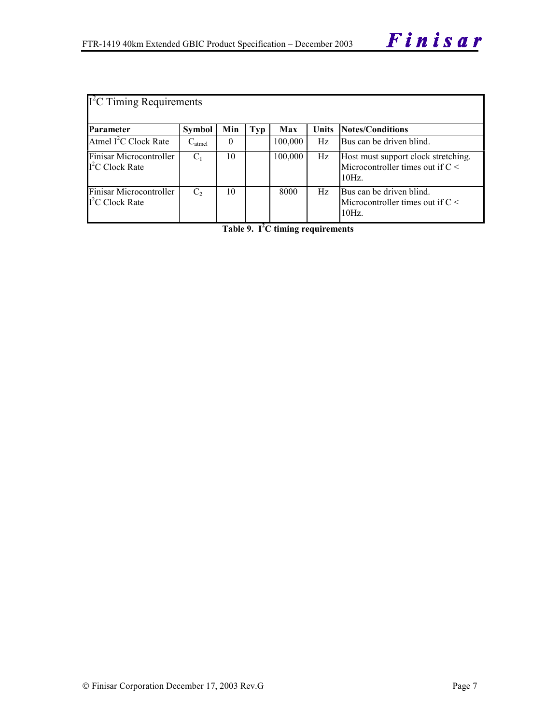| $\Gamma^2$ C Timing Requirements            |                |     |            |         |              |                                                                                   |  |  |  |
|---------------------------------------------|----------------|-----|------------|---------|--------------|-----------------------------------------------------------------------------------|--|--|--|
| <b>Parameter</b>                            | <b>Symbol</b>  | Min | <b>Typ</b> | Max     | <b>Units</b> | <b>Notes/Conditions</b>                                                           |  |  |  |
| Atmel $I^2C$ Clock Rate                     | $C_{atmel}$    | 0   |            | 100,000 | Hz           | Bus can be driven blind.                                                          |  |  |  |
| Finisar Microcontroller<br>$I2C$ Clock Rate | C <sub>1</sub> | 10  |            | 100,000 | Hz           | Host must support clock stretching.<br>Microcontroller times out if $C <$<br>10Hz |  |  |  |
| Finisar Microcontroller<br>$I2C$ Clock Rate | C <sub>2</sub> | 10  |            | 8000    | Hz           | Bus can be driven blind.<br>Microcontroller times out if $C \leq$<br>10Hz         |  |  |  |

**Table 9. I2 C timing requirements**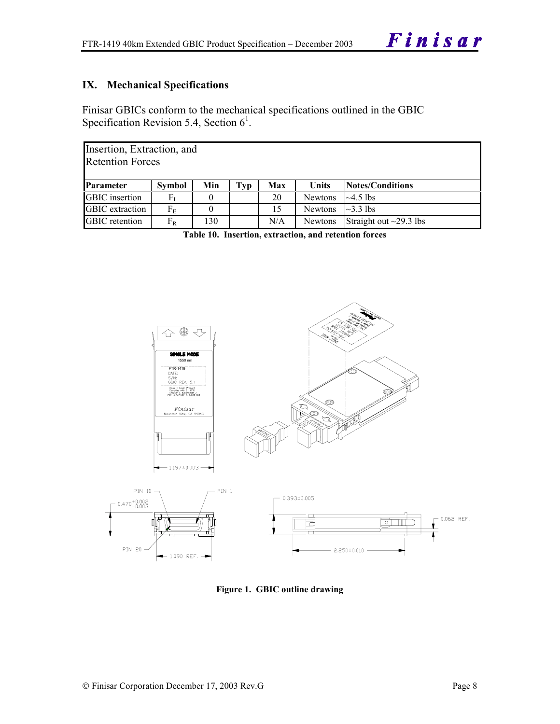# **IX. Mechanical Specifications**

Finisar GBICs conform to the mechanical specifications outlined in the GBIC Specification Revision 5.4, Section  $6^1$ .

| Insertion, Extraction, and<br><b>Retention Forces</b> |                   |     |     |     |                |                              |  |  |  |
|-------------------------------------------------------|-------------------|-----|-----|-----|----------------|------------------------------|--|--|--|
| <b>Parameter</b>                                      | Symbol            | Min | Typ | Max | <b>Units</b>   | Notes/Conditions             |  |  |  |
| <b>GBIC</b> insertion                                 | ${\rm F}_{\rm I}$ |     |     | 20  | <b>Newtons</b> | $\sim$ 4.5 lbs               |  |  |  |
| <b>GBIC</b> extraction                                | $F_{\rm E}$       |     |     | 15  | <b>Newtons</b> | $\sim$ 3.3 lbs               |  |  |  |
| <b>GBIC</b> retention                                 | $\rm F_R$         | 130 |     | N/A | Newtons        | Straight out $\sim$ 29.3 lbs |  |  |  |

**Table 10. Insertion, extraction, and retention forces** 



**Figure 1. GBIC outline drawing**